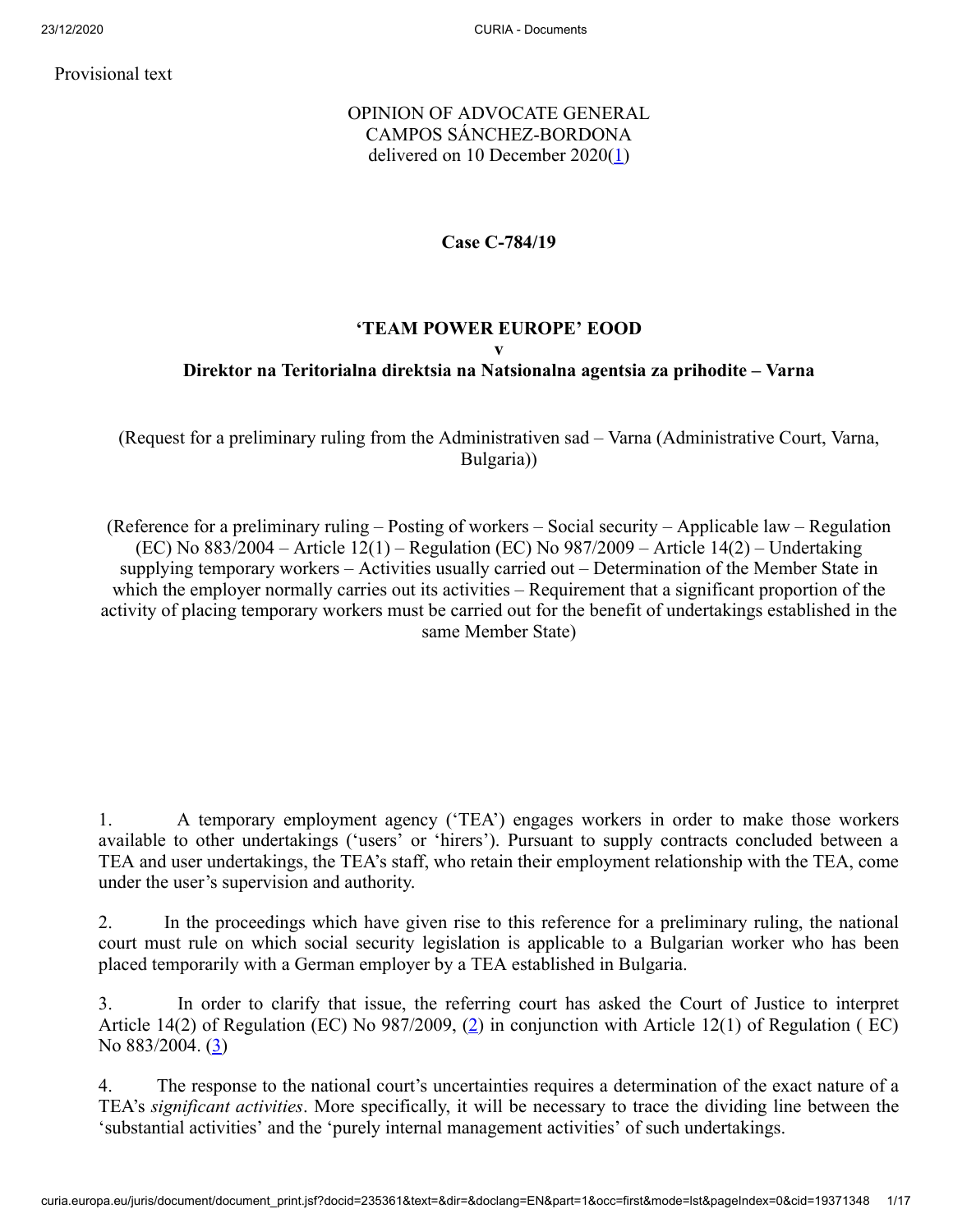Provisional text

# OPINION OF ADVOCATE GENERAL CAMPOS SÁNCHEZ-BORDONA delivered on 10 December 2020([1\)](#page-11-0)

## <span id="page-0-0"></span>**Case C‑784/19**

# **'TEAM POWER EUROPE' EOOD v Direktor na Teritorialna direktsia na Natsionalna agentsia za prihodite – Varna**

(Request for a preliminary ruling from the Administrativen sad – Varna (Administrative Court, Varna, Bulgaria))

(Reference for a preliminary ruling – Posting of workers – Social security – Applicable law – Regulation (EC) No 883/2004 – Article 12(1) – Regulation (EC) No 987/2009 – Article 14(2) – Undertaking supplying temporary workers – Activities usually carried out – Determination of the Member State in which the employer normally carries out its activities – Requirement that a significant proportion of the activity of placing temporary workers must be carried out for the benefit of undertakings established in the same Member State)

1. A temporary employment agency ('TEA') engages workers in order to make those workers available to other undertakings ('users' or 'hirers'). Pursuant to supply contracts concluded between a TEA and user undertakings, the TEA's staff, who retain their employment relationship with the TEA, come under the user's supervision and authority.

2. In the proceedings which have given rise to this reference for a preliminary ruling, the national court must rule on which social security legislation is applicable to a Bulgarian worker who has been placed temporarily with a German employer by a TEA established in Bulgaria.

<span id="page-0-2"></span><span id="page-0-1"></span>3. In order to clarify that issue, the referring court has asked the Court of Justice to interpret Article 14[\(2](#page-12-0)) of Regulation (EC) No 987/2009, (2) in conjunction with Article 12(1) of Regulation (EC) No 883/2004. [\(3](#page-12-1))

4. The response to the national court's uncertainties requires a determination of the exact nature of a TEA's *significant activities*. More specifically, it will be necessary to trace the dividing line between the 'substantial activities' and the 'purely internal management activities' of such undertakings.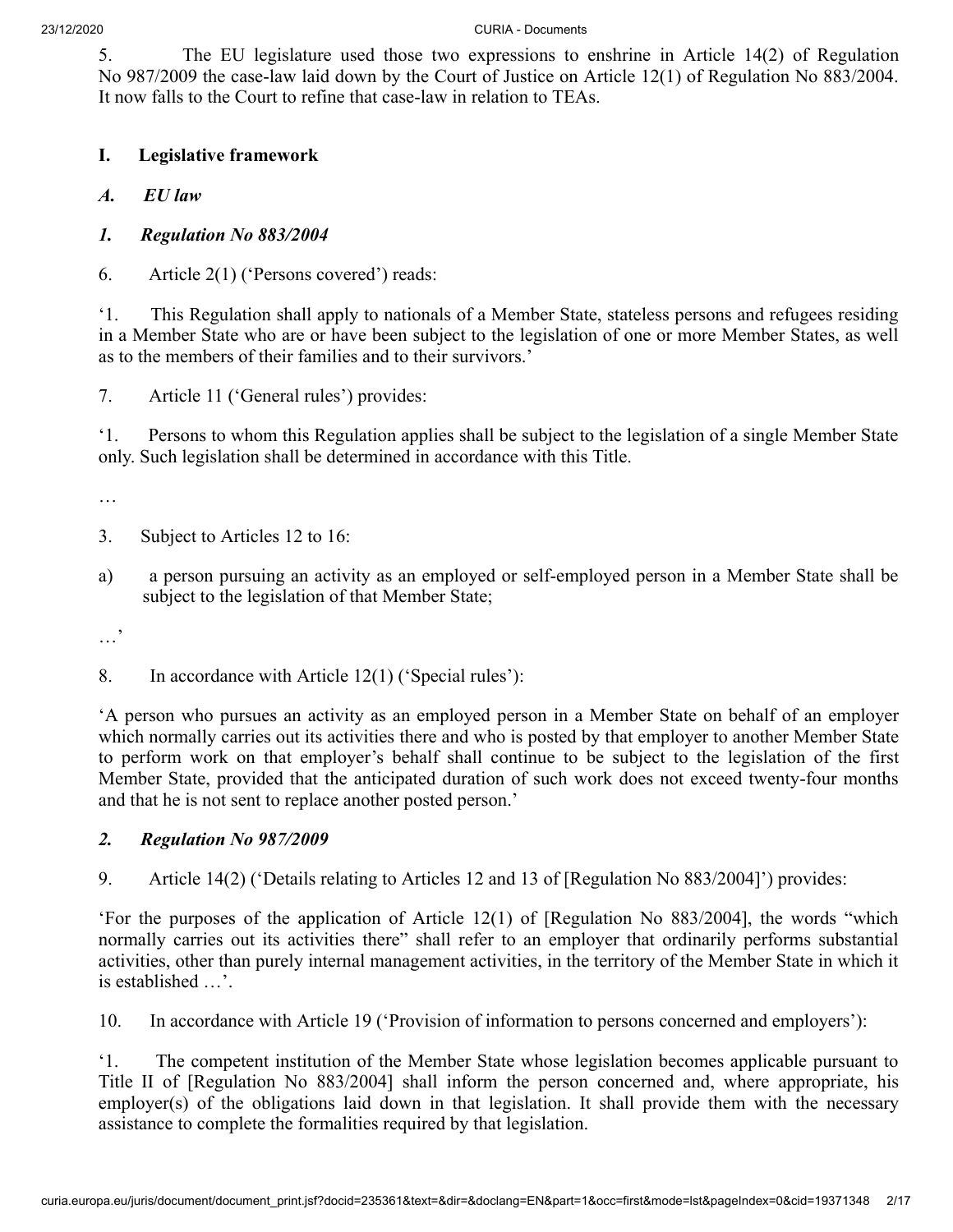5. The EU legislature used those two expressions to enshrine in Article 14(2) of Regulation No 987/2009 the case-law laid down by the Court of Justice on Article 12(1) of Regulation No 883/2004. It now falls to the Court to refine that case-law in relation to TEAs.

- **I. Legislative framework**
- *A. EU law*
- *1. Regulation No 883/2004*
- 6. Article 2(1) ('Persons covered') reads:

'1. This Regulation shall apply to nationals of a Member State, stateless persons and refugees residing in a Member State who are or have been subject to the legislation of one or more Member States, as well as to the members of their families and to their survivors.'

7. Article 11 ('General rules') provides:

'1. Persons to whom this Regulation applies shall be subject to the legislation of a single Member State only. Such legislation shall be determined in accordance with this Title.

…

- 3. Subject to Articles 12 to 16:
- a) a person pursuing an activity as an employed or self-employed person in a Member State shall be subject to the legislation of that Member State;

…'

8. In accordance with Article 12(1) ('Special rules'):

'A person who pursues an activity as an employed person in a Member State on behalf of an employer which normally carries out its activities there and who is posted by that employer to another Member State to perform work on that employer's behalf shall continue to be subject to the legislation of the first Member State, provided that the anticipated duration of such work does not exceed twenty-four months and that he is not sent to replace another posted person.'

## *2. Regulation No 987/2009*

9. Article 14(2) ('Details relating to Articles 12 and 13 of [Regulation No 883/2004]') provides:

'For the purposes of the application of Article 12(1) of [Regulation No 883/2004], the words "which normally carries out its activities there" shall refer to an employer that ordinarily performs substantial activities, other than purely internal management activities, in the territory of the Member State in which it is established …'.

10. In accordance with Article 19 ('Provision of information to persons concerned and employers'):

'1. The competent institution of the Member State whose legislation becomes applicable pursuant to Title II of [Regulation No 883/2004] shall inform the person concerned and, where appropriate, his employer(s) of the obligations laid down in that legislation. It shall provide them with the necessary assistance to complete the formalities required by that legislation.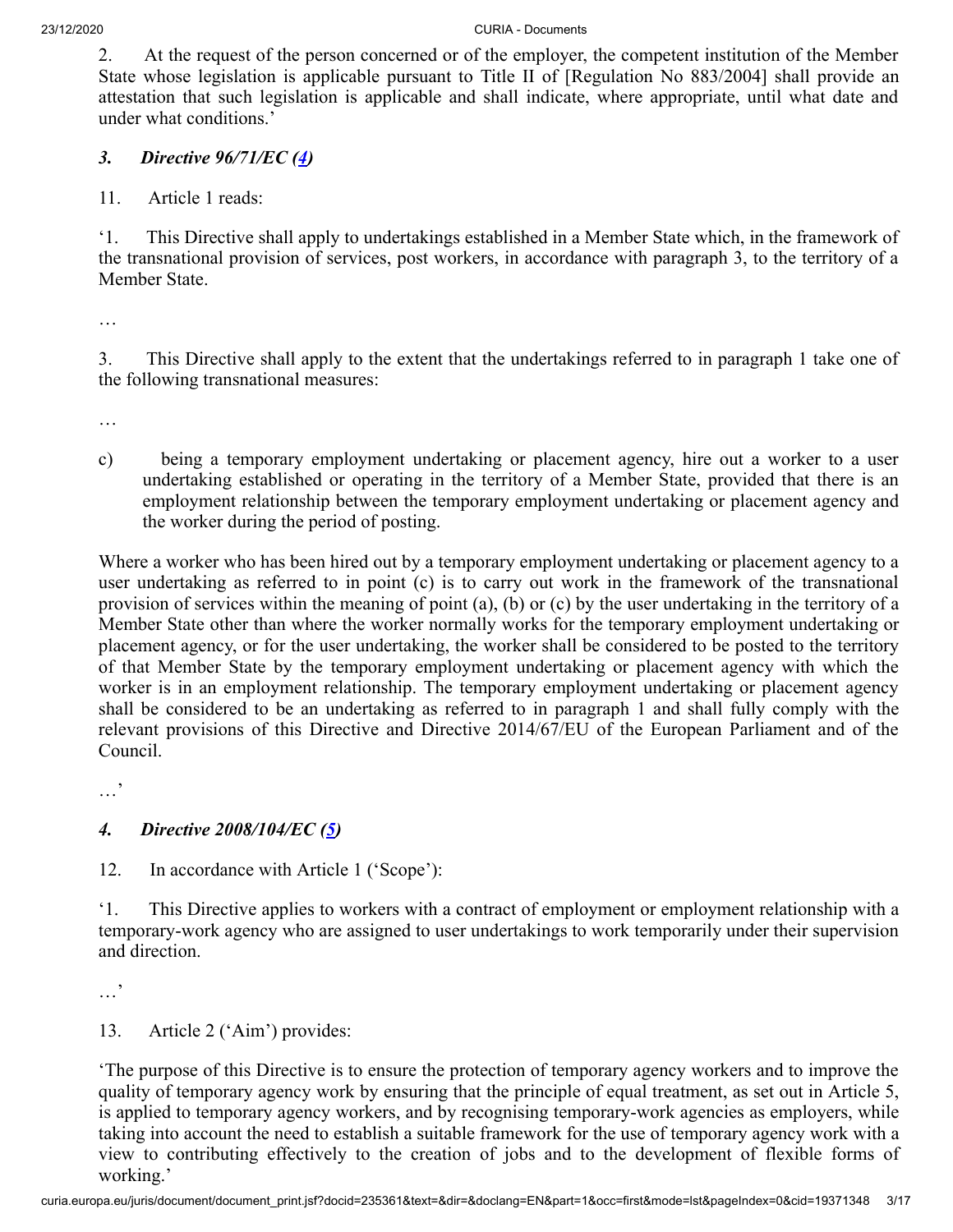2. At the request of the person concerned or of the employer, the competent institution of the Member State whose legislation is applicable pursuant to Title II of [Regulation No 883/2004] shall provide an attestation that such legislation is applicable and shall indicate, where appropriate, until what date and under what conditions.'

## <span id="page-2-0"></span>*3. Directive 96/71/EC ([4\)](#page-12-2)*

11. Article 1 reads:

'1. This Directive shall apply to undertakings established in a Member State which, in the framework of the transnational provision of services, post workers, in accordance with paragraph 3, to the territory of a Member State.

…

3. This Directive shall apply to the extent that the undertakings referred to in paragraph 1 take one of the following transnational measures:

…

c) being a temporary employment undertaking or placement agency, hire out a worker to a user undertaking established or operating in the territory of a Member State, provided that there is an employment relationship between the temporary employment undertaking or placement agency and the worker during the period of posting.

Where a worker who has been hired out by a temporary employment undertaking or placement agency to a user undertaking as referred to in point (c) is to carry out work in the framework of the transnational provision of services within the meaning of point (a), (b) or (c) by the user undertaking in the territory of a Member State other than where the worker normally works for the temporary employment undertaking or placement agency, or for the user undertaking, the worker shall be considered to be posted to the territory of that Member State by the temporary employment undertaking or placement agency with which the worker is in an employment relationship. The temporary employment undertaking or placement agency shall be considered to be an undertaking as referred to in paragraph 1 and shall fully comply with the relevant provisions of this Directive and Directive 2014/67/EU of the European Parliament and of the Council.

…'

# <span id="page-2-1"></span>*4. Directive 2008/104/EC ([5\)](#page-12-3)*

12. In accordance with Article 1 ('Scope'):

'1. This Directive applies to workers with a contract of employment or employment relationship with a temporary-work agency who are assigned to user undertakings to work temporarily under their supervision and direction.

…'

13. Article 2 ('Aim') provides:

'The purpose of this Directive is to ensure the protection of temporary agency workers and to improve the quality of temporary agency work by ensuring that the principle of equal treatment, as set out in Article 5, is applied to temporary agency workers, and by recognising temporary-work agencies as employers, while taking into account the need to establish a suitable framework for the use of temporary agency work with a view to contributing effectively to the creation of jobs and to the development of flexible forms of working.'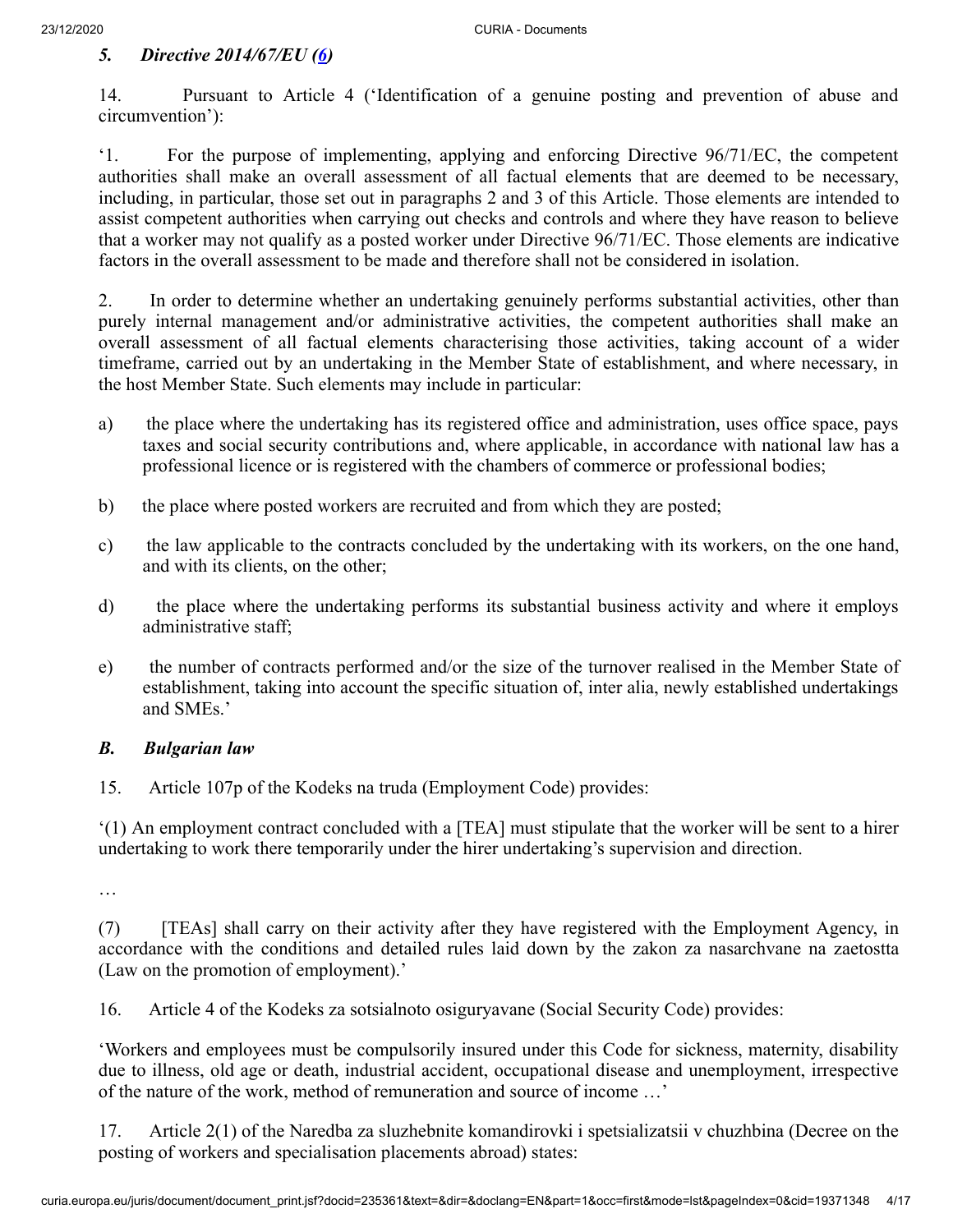# <span id="page-3-0"></span>*5. Directive 2014/67/EU [\(6](#page-12-4))*

14. Pursuant to Article 4 ('Identification of a genuine posting and prevention of abuse and circumvention'):

'1. For the purpose of implementing, applying and enforcing Directive 96/71/EC, the competent authorities shall make an overall assessment of all factual elements that are deemed to be necessary, including, in particular, those set out in paragraphs 2 and 3 of this Article. Those elements are intended to assist competent authorities when carrying out checks and controls and where they have reason to believe that a worker may not qualify as a posted worker under Directive 96/71/EC. Those elements are indicative factors in the overall assessment to be made and therefore shall not be considered in isolation.

2. In order to determine whether an undertaking genuinely performs substantial activities, other than purely internal management and/or administrative activities, the competent authorities shall make an overall assessment of all factual elements characterising those activities, taking account of a wider timeframe, carried out by an undertaking in the Member State of establishment, and where necessary, in the host Member State. Such elements may include in particular:

- a) the place where the undertaking has its registered office and administration, uses office space, pays taxes and social security contributions and, where applicable, in accordance with national law has a professional licence or is registered with the chambers of commerce or professional bodies;
- b) the place where posted workers are recruited and from which they are posted;
- c) the law applicable to the contracts concluded by the undertaking with its workers, on the one hand, and with its clients, on the other;
- d) the place where the undertaking performs its substantial business activity and where it employs administrative staff;
- e) the number of contracts performed and/or the size of the turnover realised in the Member State of establishment, taking into account the specific situation of, inter alia, newly established undertakings and SMEs.'

## *B. Bulgarian law*

15. Article 107p of the Kodeks na truda (Employment Code) provides:

'(1) An employment contract concluded with a [TEA] must stipulate that the worker will be sent to a hirer undertaking to work there temporarily under the hirer undertaking's supervision and direction.

…

(7) [TEAs] shall carry on their activity after they have registered with the Employment Agency, in accordance with the conditions and detailed rules laid down by the zakon za nasarchvane na zaetostta (Law on the promotion of employment).'

16. Article 4 of the Kodeks za sotsialnoto osiguryavane (Social Security Code) provides:

'Workers and employees must be compulsorily insured under this Code for sickness, maternity, disability due to illness, old age or death, industrial accident, occupational disease and unemployment, irrespective of the nature of the work, method of remuneration and source of income …'

17. Article 2(1) of the Naredba za sluzhebnite komandirovki i spetsializatsii v chuzhbina (Decree on the posting of workers and specialisation placements abroad) states: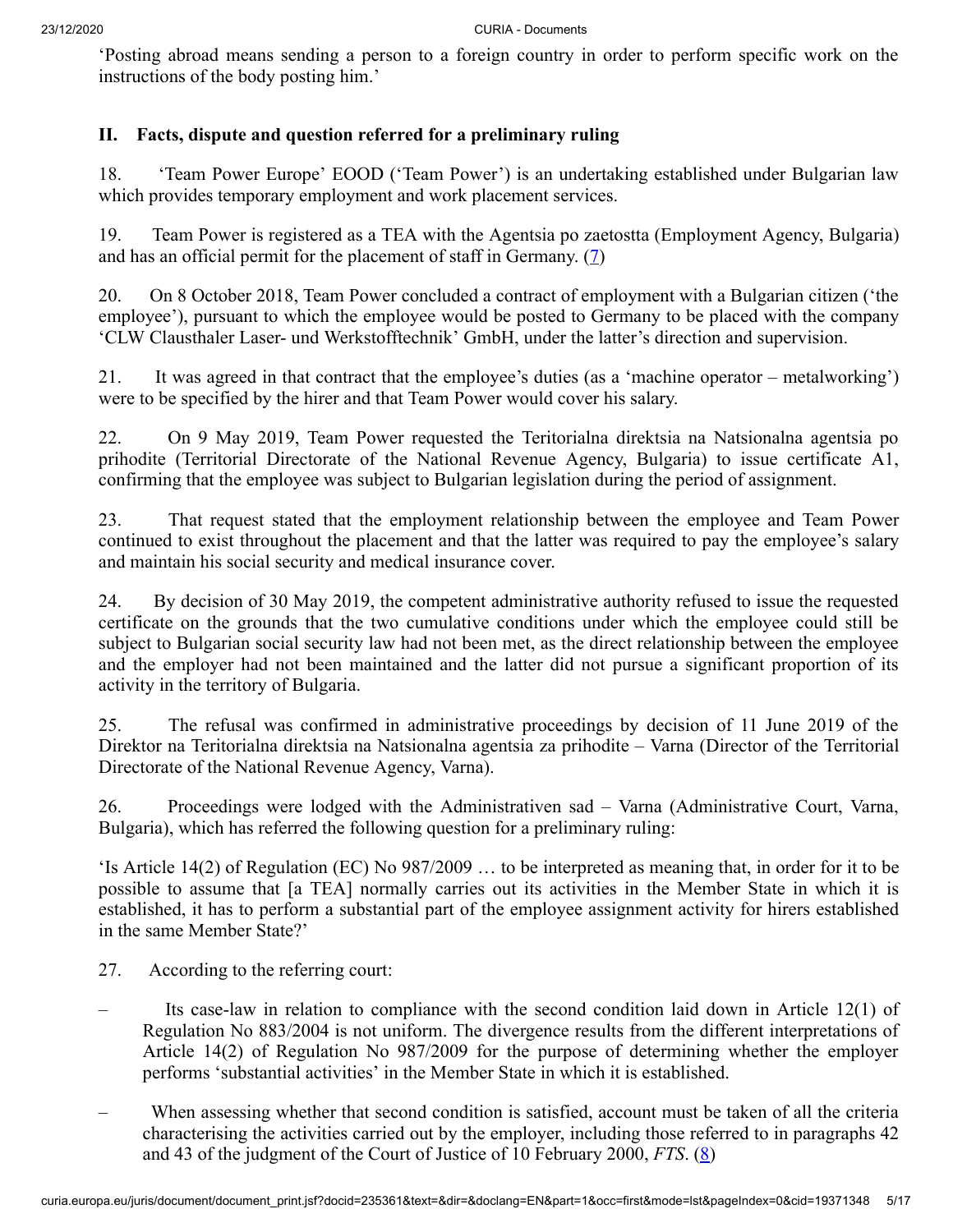'Posting abroad means sending a person to a foreign country in order to perform specific work on the instructions of the body posting him.'

# **II. Facts, dispute and question referred for a preliminary ruling**

18. 'Team Power Europe' EOOD ('Team Power') is an undertaking established under Bulgarian law which provides temporary employment and work placement services.

<span id="page-4-0"></span>19. Team Power is registered as a TEA with the Agentsia po zaetostta (Employment Agency, Bulgaria) and has an official permit for the placement of staff in Germany.  $(7)$  $(7)$ 

20. On 8 October 2018, Team Power concluded a contract of employment with a Bulgarian citizen ('the employee'), pursuant to which the employee would be posted to Germany to be placed with the company 'CLW Clausthaler Laser- und Werkstofftechnik' GmbH, under the latter's direction and supervision.

21. It was agreed in that contract that the employee's duties (as a 'machine operator – metalworking') were to be specified by the hirer and that Team Power would cover his salary.

22. On 9 May 2019, Team Power requested the Teritorialna direktsia na Natsionalna agentsia po prihodite (Territorial Directorate of the National Revenue Agency, Bulgaria) to issue certificate A1, confirming that the employee was subject to Bulgarian legislation during the period of assignment.

23. That request stated that the employment relationship between the employee and Team Power continued to exist throughout the placement and that the latter was required to pay the employee's salary and maintain his social security and medical insurance cover.

24. By decision of 30 May 2019, the competent administrative authority refused to issue the requested certificate on the grounds that the two cumulative conditions under which the employee could still be subject to Bulgarian social security law had not been met, as the direct relationship between the employee and the employer had not been maintained and the latter did not pursue a significant proportion of its activity in the territory of Bulgaria.

25. The refusal was confirmed in administrative proceedings by decision of 11 June 2019 of the Direktor na Teritorialna direktsia na Natsionalna agentsia za prihodite – Varna (Director of the Territorial Directorate of the National Revenue Agency, Varna).

26. Proceedings were lodged with the Administrativen sad – Varna (Administrative Court, Varna, Bulgaria), which has referred the following question for a preliminary ruling:

'Is Article 14(2) of Regulation (EC) No 987/2009 … to be interpreted as meaning that, in order for it to be possible to assume that [a TEA] normally carries out its activities in the Member State in which it is established, it has to perform a substantial part of the employee assignment activity for hirers established in the same Member State?'

- 27. According to the referring court:
- Its case-law in relation to compliance with the second condition laid down in Article  $12(1)$  of Regulation No 883/2004 is not uniform. The divergence results from the different interpretations of Article 14(2) of Regulation No 987/2009 for the purpose of determining whether the employer performs 'substantial activities' in the Member State in which it is established.
- <span id="page-4-1"></span>– When assessing whether that second condition is satisfied, account must be taken of all the criteria characterising the activities carried out by the employer, including those referred to in paragraphs 42 and 43 of the judgment of the Court of Justice of 10 February 2000, *FTS*. ([8\)](#page-12-6)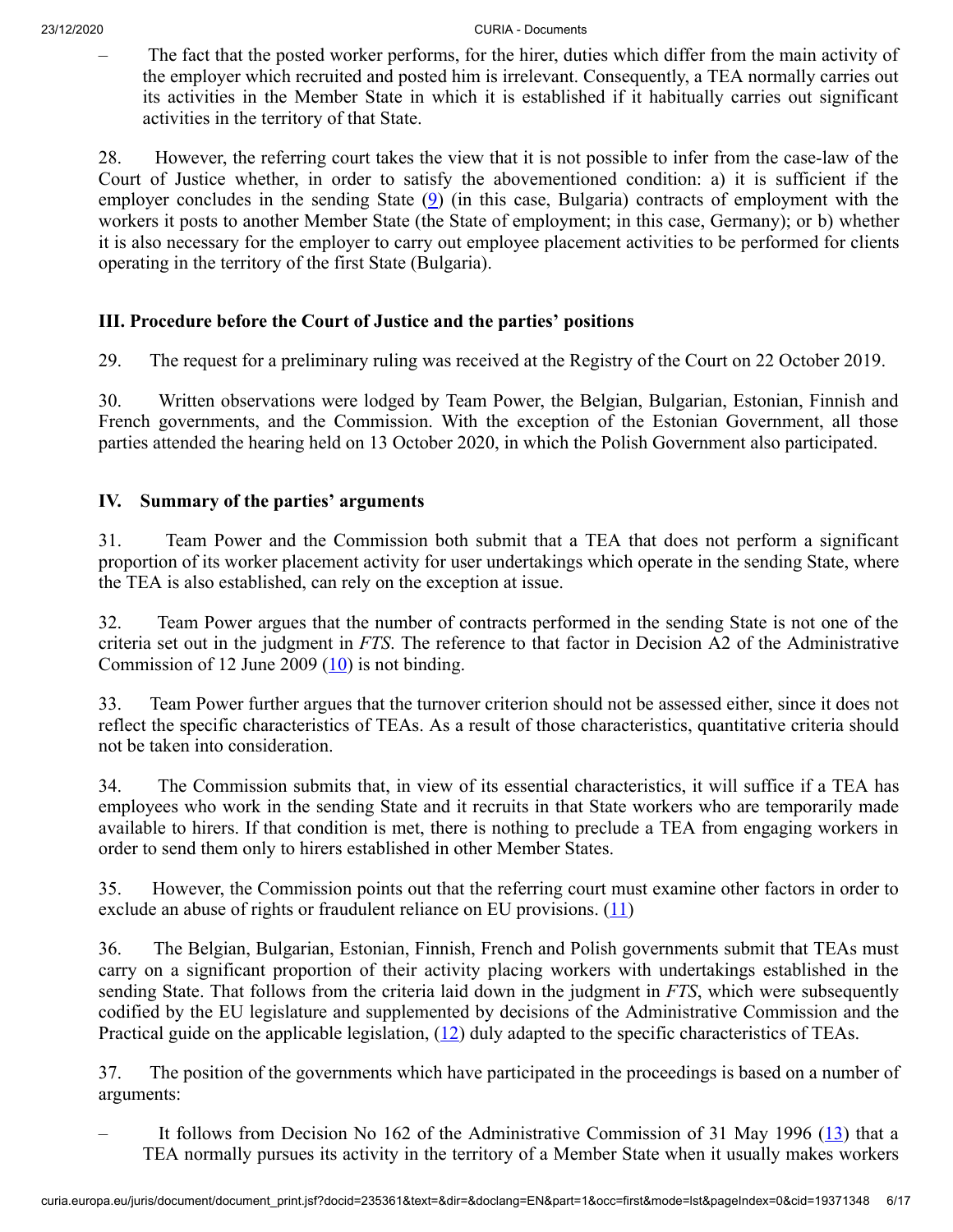– The fact that the posted worker performs, for the hirer, duties which differ from the main activity of the employer which recruited and posted him is irrelevant. Consequently, a TEA normally carries out its activities in the Member State in which it is established if it habitually carries out significant activities in the territory of that State.

<span id="page-5-0"></span>28. However, the referring court takes the view that it is not possible to infer from the case-law of the Court of Justice whether, in order to satisfy the abovementioned condition: a) it is sufficient if the employer concludes in the sending State  $(9)$  $(9)$  (in this case, Bulgaria) contracts of employment with the workers it posts to another Member State (the State of employment; in this case, Germany); or b) whether it is also necessary for the employer to carry out employee placement activities to be performed for clients operating in the territory of the first State (Bulgaria).

# **III. Procedure before the Court of Justice and the parties' positions**

29. The request for a preliminary ruling was received at the Registry of the Court on 22 October 2019.

30. Written observations were lodged by Team Power, the Belgian, Bulgarian, Estonian, Finnish and French governments, and the Commission. With the exception of the Estonian Government, all those parties attended the hearing held on 13 October 2020, in which the Polish Government also participated.

# **IV. Summary of the parties' arguments**

31. Team Power and the Commission both submit that a TEA that does not perform a significant proportion of its worker placement activity for user undertakings which operate in the sending State, where the TEA is also established, can rely on the exception at issue.

<span id="page-5-1"></span>32. Team Power argues that the number of contracts performed in the sending State is not one of the criteria set out in the judgment in *FTS*. The reference to that factor in Decision A2 of the Administrative Commission of 12 June 2009  $(10)$  $(10)$  is not binding.

33. Team Power further argues that the turnover criterion should not be assessed either, since it does not reflect the specific characteristics of TEAs. As a result of those characteristics, quantitative criteria should not be taken into consideration.

34. The Commission submits that, in view of its essential characteristics, it will suffice if a TEA has employees who work in the sending State and it recruits in that State workers who are temporarily made available to hirers. If that condition is met, there is nothing to preclude a TEA from engaging workers in order to send them only to hirers established in other Member States.

<span id="page-5-2"></span>35. However, the Commission points out that the referring court must examine other factors in order to exclude an abuse of rights or fraudulent reliance on EU provisions.  $(11)$  $(11)$  $(11)$ 

36. The Belgian, Bulgarian, Estonian, Finnish, French and Polish governments submit that TEAs must carry on a significant proportion of their activity placing workers with undertakings established in the sending State. That follows from the criteria laid down in the judgment in *FTS*, which were subsequently codified by the EU legislature and supplemented by decisions of the Administrative Commission and the Practical guide on the applicable legislation,  $(12)$  $(12)$  duly adapted to the specific characteristics of TEAs.

<span id="page-5-4"></span><span id="page-5-3"></span>37. The position of the governments which have participated in the proceedings is based on a number of arguments:

It follows from Decision No 162 of the Administrative Commission of 31 May 1996 ([13\)](#page-13-1) that a TEA normally pursues its activity in the territory of a Member State when it usually makes workers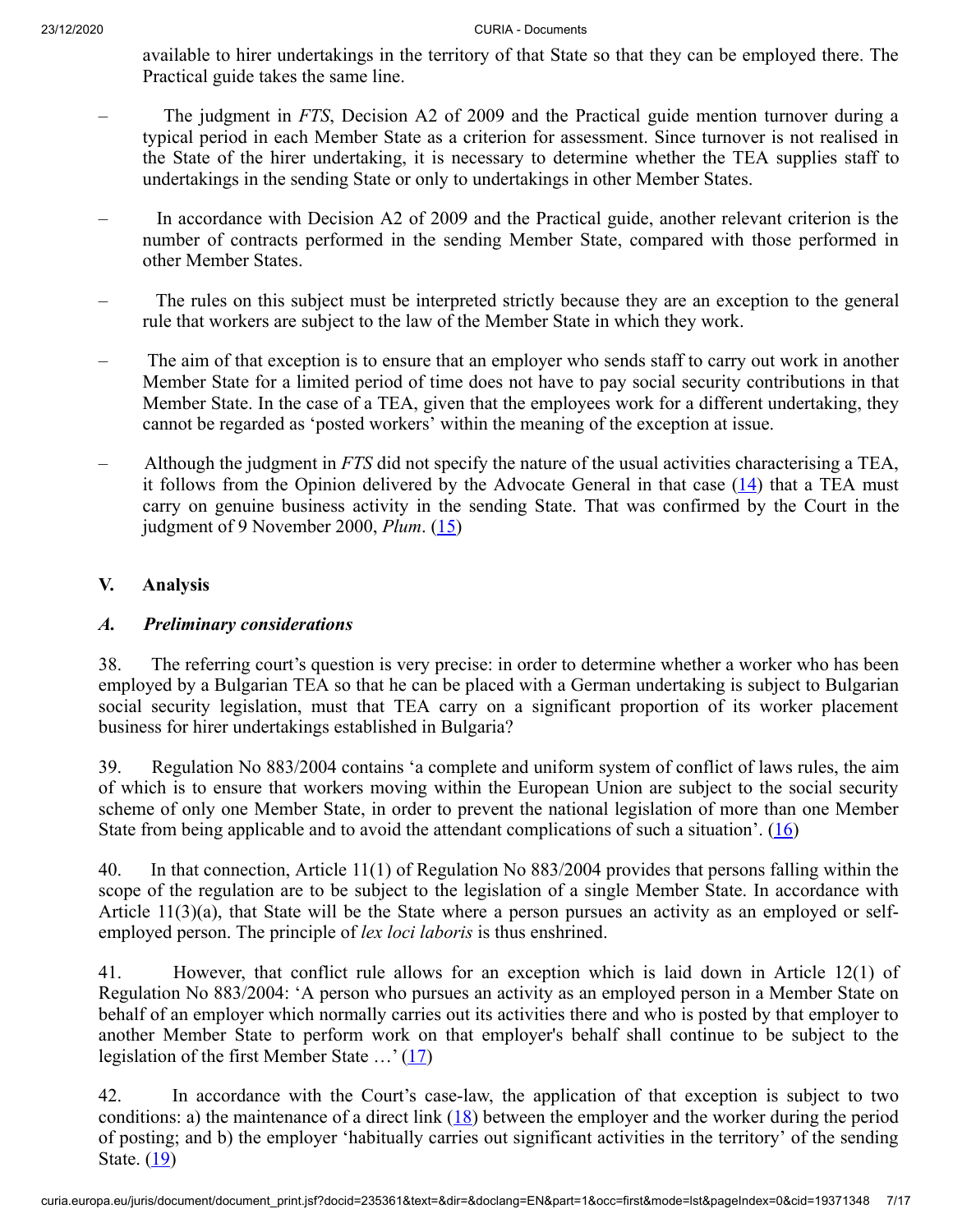available to hirer undertakings in the territory of that State so that they can be employed there. The Practical guide takes the same line.

- The judgment in *FTS*, Decision A2 of 2009 and the Practical guide mention turnover during a typical period in each Member State as a criterion for assessment. Since turnover is not realised in the State of the hirer undertaking, it is necessary to determine whether the TEA supplies staff to undertakings in the sending State or only to undertakings in other Member States.
- In accordance with Decision A2 of 2009 and the Practical guide, another relevant criterion is the number of contracts performed in the sending Member State, compared with those performed in other Member States.
- The rules on this subject must be interpreted strictly because they are an exception to the general rule that workers are subject to the law of the Member State in which they work.
- The aim of that exception is to ensure that an employer who sends staff to carry out work in another Member State for a limited period of time does not have to pay social security contributions in that Member State. In the case of a TEA, given that the employees work for a different undertaking, they cannot be regarded as 'posted workers' within the meaning of the exception at issue.
- <span id="page-6-1"></span><span id="page-6-0"></span>– Although the judgment in *FTS* did not specify the nature of the usual activities characterising a TEA, it follows from the Opinion delivered by the Advocate General in that case  $(14)$  $(14)$  that a TEA must carry on genuine business activity in the sending State. That was confirmed by the Court in the judgment of 9 November 2000, *Plum*. ([15\)](#page-13-3)

# **V. Analysis**

# *A. Preliminary considerations*

38. The referring court's question is very precise: in order to determine whether a worker who has been employed by a Bulgarian TEA so that he can be placed with a German undertaking is subject to Bulgarian social security legislation, must that TEA carry on a significant proportion of its worker placement business for hirer undertakings established in Bulgaria?

39. Regulation No 883/2004 contains 'a complete and uniform system of conflict of laws rules, the aim of which is to ensure that workers moving within the European Union are subject to the social security scheme of only one Member State, in order to prevent the national legislation of more than one Member State from being applicable and to avoid the attendant complications of such a situation'.  $(16)$  $(16)$ 

<span id="page-6-2"></span>40. In that connection, Article 11(1) of Regulation No 883/2004 provides that persons falling within the scope of the regulation are to be subject to the legislation of a single Member State. In accordance with Article 11(3)(a), that State will be the State where a person pursues an activity as an employed or selfemployed person. The principle of *lex loci laboris* is thus enshrined.

41. However, that conflict rule allows for an exception which is laid down in Article 12(1) of Regulation No 883/2004: 'A person who pursues an activity as an employed person in a Member State on behalf of an employer which normally carries out its activities there and who is posted by that employer to another Member State to perform work on that employer's behalf shall continue to be subject to the legislation of the first Member State  $\ldots$  [\(17](#page-13-5))

<span id="page-6-5"></span><span id="page-6-4"></span><span id="page-6-3"></span>42. In accordance with the Court's case-law, the application of that exception is subject to two conditions: a) the maintenance of a direct link  $(18)$  $(18)$  between the employer and the worker during the period of posting; and b) the employer 'habitually carries out significant activities in the territory' of the sending State.  $(19)$  $(19)$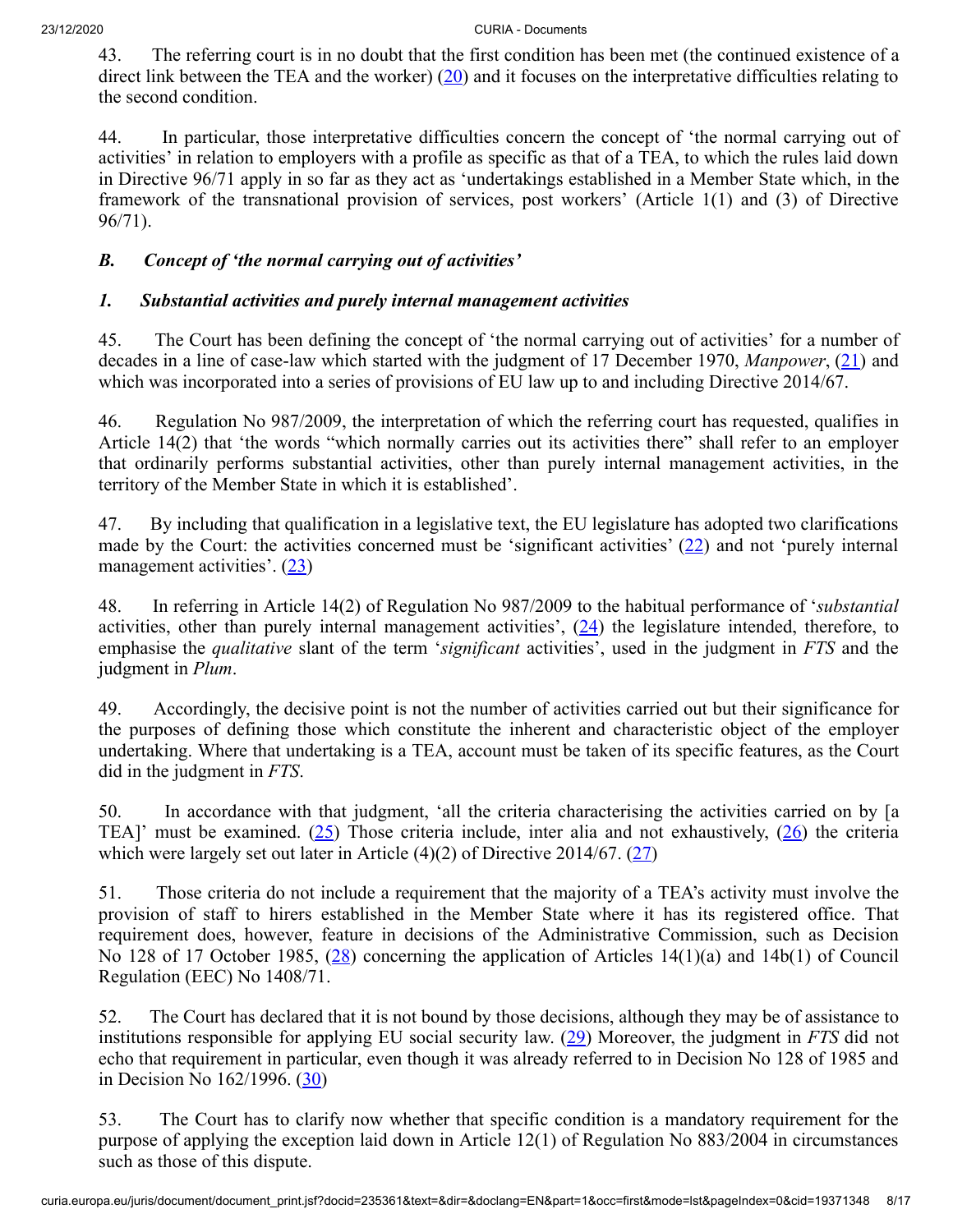<span id="page-7-0"></span>43. The referring court is in no doubt that the first condition has been met (the continued existence of a direct link between the TEA and the worker) ([20\)](#page-13-8) and it focuses on the interpretative difficulties relating to the second condition.

44. In particular, those interpretative difficulties concern the concept of 'the normal carrying out of activities' in relation to employers with a profile as specific as that of a TEA, to which the rules laid down in Directive 96/71 apply in so far as they act as 'undertakings established in a Member State which, in the framework of the transnational provision of services, post workers' (Article 1(1) and (3) of Directive 96/71).

# *B. Concept of 'the normal carrying out of activities'*

# *1. Substantial activities and purely internal management activities*

<span id="page-7-1"></span>45. The Court has been defining the concept of 'the normal carrying out of activities' for a number of decades in a line of case-law which started with the judgment of 17 December 1970, *Manpower*, [\(21](#page-13-9)) and which was incorporated into a series of provisions of EU law up to and including Directive 2014/67.

46. Regulation No 987/2009, the interpretation of which the referring court has requested, qualifies in Article 14(2) that 'the words "which normally carries out its activities there" shall refer to an employer that ordinarily performs substantial activities, other than purely internal management activities, in the territory of the Member State in which it is established'.

<span id="page-7-3"></span><span id="page-7-2"></span>47. By including that qualification in a legislative text, the EU legislature has adopted two clarifications made by the Court: the activities concerned must be 'significant activities'  $(22)$  $(22)$  and not 'purely internal management activities'.  $(23)$  $(23)$ 

<span id="page-7-4"></span>48. In referring in Article 14(2) of Regulation No 987/2009 to the habitual performance of '*substantial* activities, other than purely internal management activities',  $(24)$  $(24)$  the legislature intended, therefore, to emphasise the *qualitative* slant of the term '*significant* activities', used in the judgment in *FTS* and the judgment in *Plum*.

49. Accordingly, the decisive point is not the number of activities carried out but their significance for the purposes of defining those which constitute the inherent and characteristic object of the employer undertaking. Where that undertaking is a TEA, account must be taken of its specific features, as the Court did in the judgment in *FTS*.

<span id="page-7-7"></span><span id="page-7-6"></span><span id="page-7-5"></span>50. In accordance with that judgment, 'all the criteria characterising the activities carried on by [a TEA]' must be examined. [\(25](#page-14-0)) Those criteria include, inter alia and not exhaustively, [\(26](#page-14-1)) the criteria which were largely set out later in Article  $(4)(2)$  of Directive 2014/67.  $(27)$  $(27)$ 

<span id="page-7-8"></span>51. Those criteria do not include a requirement that the majority of a TEA's activity must involve the provision of staff to hirers established in the Member State where it has its registered office. That requirement does, however, feature in decisions of the Administrative Commission, such as Decision No 128 of 17 October 1985, [\(28](#page-14-3)) concerning the application of Articles 14(1)(a) and 14b(1) of Council Regulation (EEC) No 1408/71.

<span id="page-7-9"></span>52. The Court has declared that it is not bound by those decisions, although they may be of assistance to institutions responsible for applying EU social security law. [\(29](#page-14-4)) Moreover, the judgment in *FTS* did not echo that requirement in particular, even though it was already referred to in Decision No 128 of 1985 and in Decision No  $162/1996. (30)$  $162/1996. (30)$  $162/1996. (30)$ 

<span id="page-7-10"></span>53. The Court has to clarify now whether that specific condition is a mandatory requirement for the purpose of applying the exception laid down in Article 12(1) of Regulation No 883/2004 in circumstances such as those of this dispute.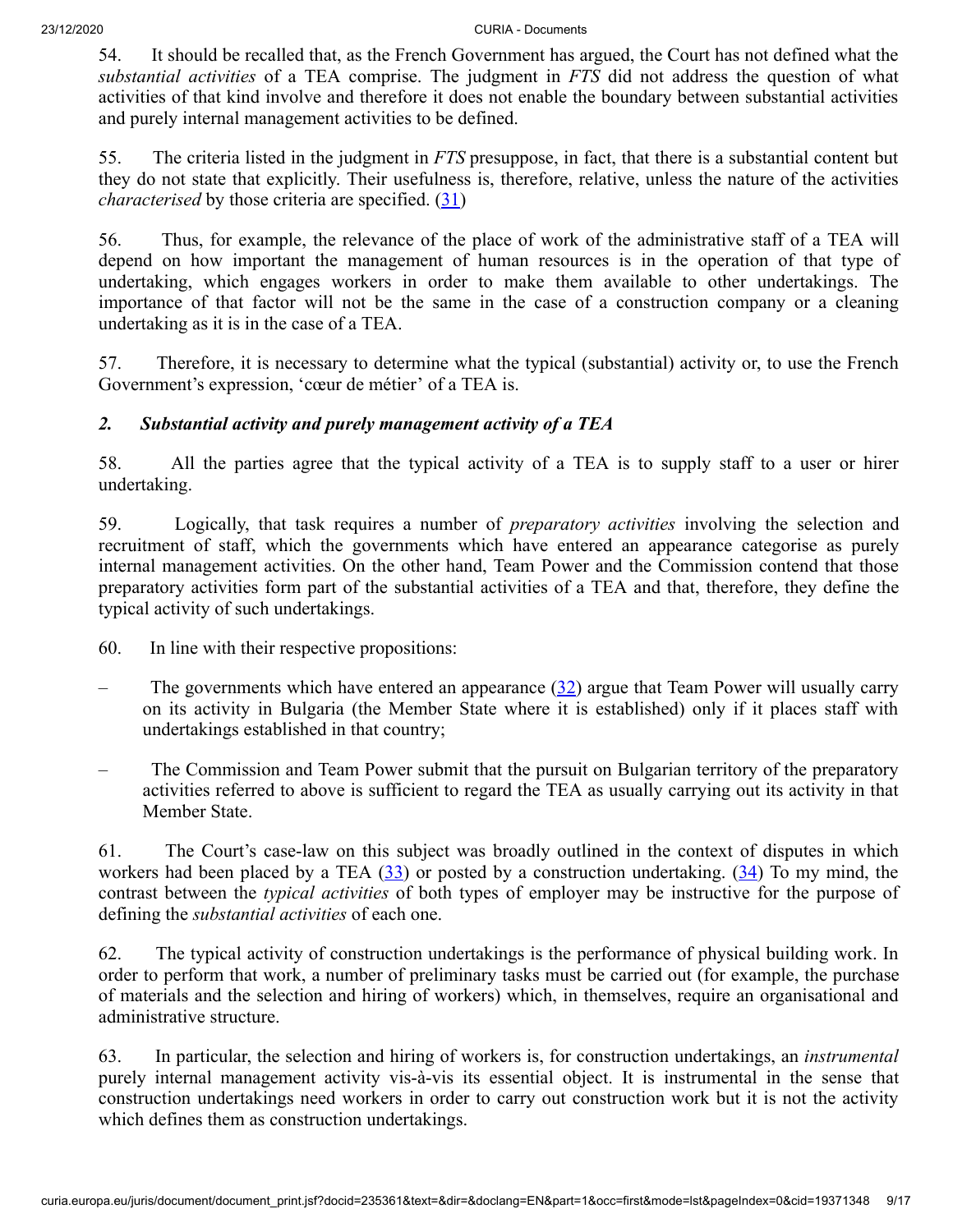54. It should be recalled that, as the French Government has argued, the Court has not defined what the *substantial activities* of a TEA comprise. The judgment in *FTS* did not address the question of what activities of that kind involve and therefore it does not enable the boundary between substantial activities and purely internal management activities to be defined.

55. The criteria listed in the judgment in *FTS* presuppose, in fact, that there is a substantial content but they do not state that explicitly. Their usefulness is, therefore, relative, unless the nature of the activities *characterised* by those criteria are specified. [\(31](#page-14-6))

<span id="page-8-0"></span>56. Thus, for example, the relevance of the place of work of the administrative staff of a TEA will depend on how important the management of human resources is in the operation of that type of undertaking, which engages workers in order to make them available to other undertakings. The importance of that factor will not be the same in the case of a construction company or a cleaning undertaking as it is in the case of a TEA.

57. Therefore, it is necessary to determine what the typical (substantial) activity or, to use the French Government's expression, 'cœur de métier' of a TEA is.

# *2. Substantial activity and purely management activity of a TEA*

58. All the parties agree that the typical activity of a TEA is to supply staff to a user or hirer undertaking.

59. Logically, that task requires a number of *preparatory activities* involving the selection and recruitment of staff, which the governments which have entered an appearance categorise as purely internal management activities. On the other hand, Team Power and the Commission contend that those preparatory activities form part of the substantial activities of a TEA and that, therefore, they define the typical activity of such undertakings.

- 60. In line with their respective propositions:
- <span id="page-8-1"></span>The governments which have entered an appearance  $(32)$  $(32)$  argue that Team Power will usually carry on its activity in Bulgaria (the Member State where it is established) only if it places staff with undertakings established in that country;
- The Commission and Team Power submit that the pursuit on Bulgarian territory of the preparatory activities referred to above is sufficient to regard the TEA as usually carrying out its activity in that Member State.

<span id="page-8-3"></span><span id="page-8-2"></span>61. The Court's case-law on this subject was broadly outlined in the context of disputes in which workers had been placed by a TEA  $(33)$  $(33)$  or posted by a construction undertaking.  $(34)$  $(34)$  To my mind, the contrast between the *typical activities* of both types of employer may be instructive for the purpose of defining the *substantial activities* of each one.

62. The typical activity of construction undertakings is the performance of physical building work. In order to perform that work, a number of preliminary tasks must be carried out (for example, the purchase of materials and the selection and hiring of workers) which, in themselves, require an organisational and administrative structure.

63. In particular, the selection and hiring of workers is, for construction undertakings, an *instrumental* purely internal management activity vis-à-vis its essential object. It is instrumental in the sense that construction undertakings need workers in order to carry out construction work but it is not the activity which defines them as construction undertakings.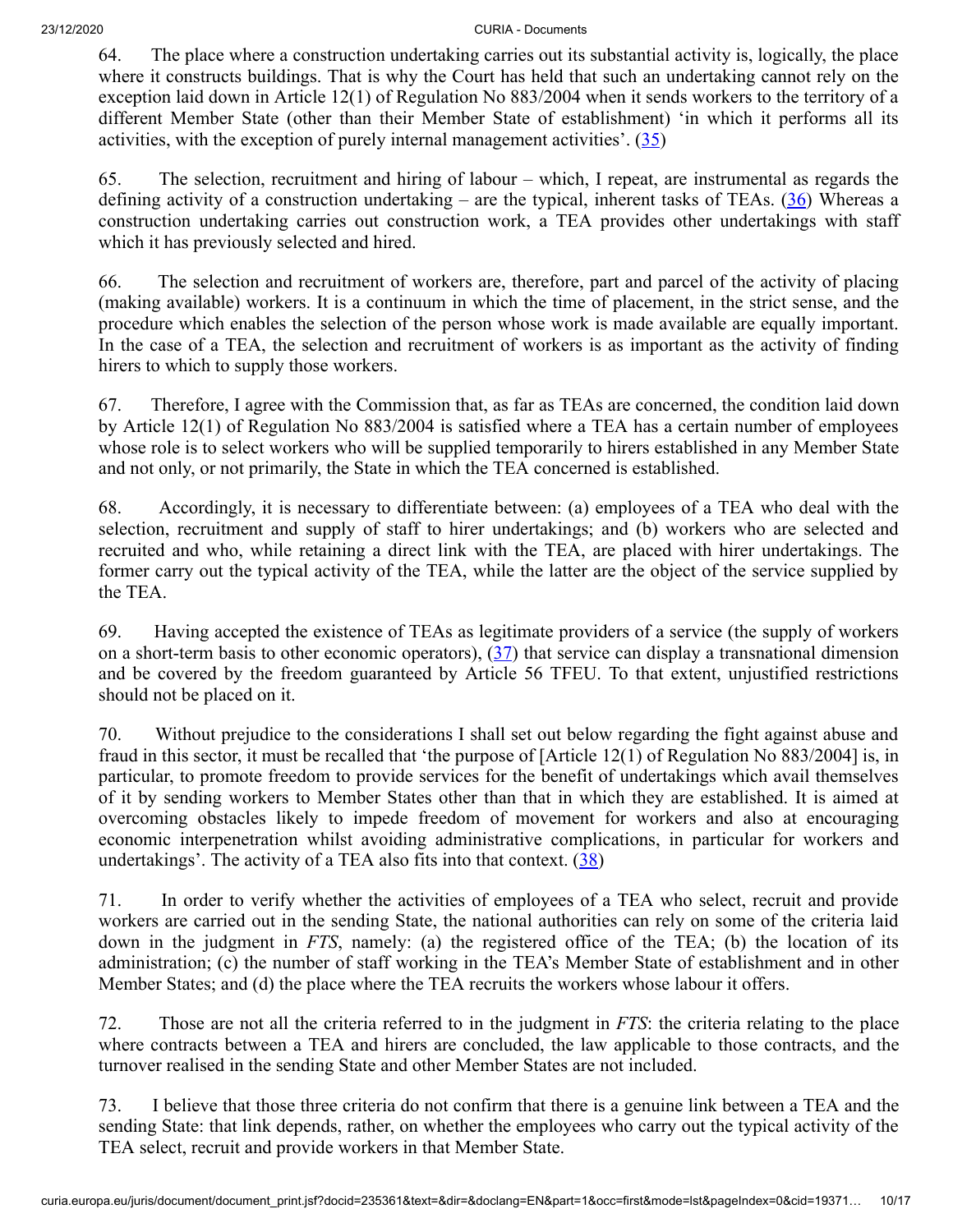64. The place where a construction undertaking carries out its substantial activity is, logically, the place where it constructs buildings. That is why the Court has held that such an undertaking cannot rely on the exception laid down in Article 12(1) of Regulation No 883/2004 when it sends workers to the territory of a different Member State (other than their Member State of establishment) 'in which it performs all its activities, with the exception of purely internal management activities'.  $(35)$  $(35)$  $(35)$ 

<span id="page-9-1"></span><span id="page-9-0"></span>65. The selection, recruitment and hiring of labour – which, I repeat, are instrumental as regards the defining activity of a construction undertaking – are the typical, inherent tasks of TEAs.  $(36)$  $(36)$  Whereas a construction undertaking carries out construction work, a TEA provides other undertakings with staff which it has previously selected and hired.

66. The selection and recruitment of workers are, therefore, part and parcel of the activity of placing (making available) workers. It is a continuum in which the time of placement, in the strict sense, and the procedure which enables the selection of the person whose work is made available are equally important. In the case of a TEA, the selection and recruitment of workers is as important as the activity of finding hirers to which to supply those workers.

67. Therefore, I agree with the Commission that, as far as TEAs are concerned, the condition laid down by Article 12(1) of Regulation No 883/2004 is satisfied where a TEA has a certain number of employees whose role is to select workers who will be supplied temporarily to hirers established in any Member State and not only, or not primarily, the State in which the TEA concerned is established.

68. Accordingly, it is necessary to differentiate between: (a) employees of a TEA who deal with the selection, recruitment and supply of staff to hirer undertakings; and (b) workers who are selected and recruited and who, while retaining a direct link with the TEA, are placed with hirer undertakings. The former carry out the typical activity of the TEA, while the latter are the object of the service supplied by the TEA.

<span id="page-9-2"></span>69. Having accepted the existence of TEAs as legitimate providers of a service (the supply of workers on a short-term basis to other economic operators), [\(37](#page-15-0)) that service can display a transnational dimension and be covered by the freedom guaranteed by Article 56 TFEU. To that extent, unjustified restrictions should not be placed on it.

70. Without prejudice to the considerations I shall set out below regarding the fight against abuse and fraud in this sector, it must be recalled that 'the purpose of [Article 12(1) of Regulation No 883/2004] is, in particular, to promote freedom to provide services for the benefit of undertakings which avail themselves of it by sending workers to Member States other than that in which they are established. It is aimed at overcoming obstacles likely to impede freedom of movement for workers and also at encouraging economic interpenetration whilst avoiding administrative complications, in particular for workers and undertakings'. The activity of a TEA also fits into that context.  $(38)$  $(38)$  $(38)$ 

<span id="page-9-3"></span>71. In order to verify whether the activities of employees of a TEA who select, recruit and provide workers are carried out in the sending State, the national authorities can rely on some of the criteria laid down in the judgment in *FTS*, namely: (a) the registered office of the TEA; (b) the location of its administration; (c) the number of staff working in the TEA's Member State of establishment and in other Member States; and (d) the place where the TEA recruits the workers whose labour it offers.

72. Those are not all the criteria referred to in the judgment in *FTS*: the criteria relating to the place where contracts between a TEA and hirers are concluded, the law applicable to those contracts, and the turnover realised in the sending State and other Member States are not included.

73. I believe that those three criteria do not confirm that there is a genuine link between a TEA and the sending State: that link depends, rather, on whether the employees who carry out the typical activity of the TEA select, recruit and provide workers in that Member State.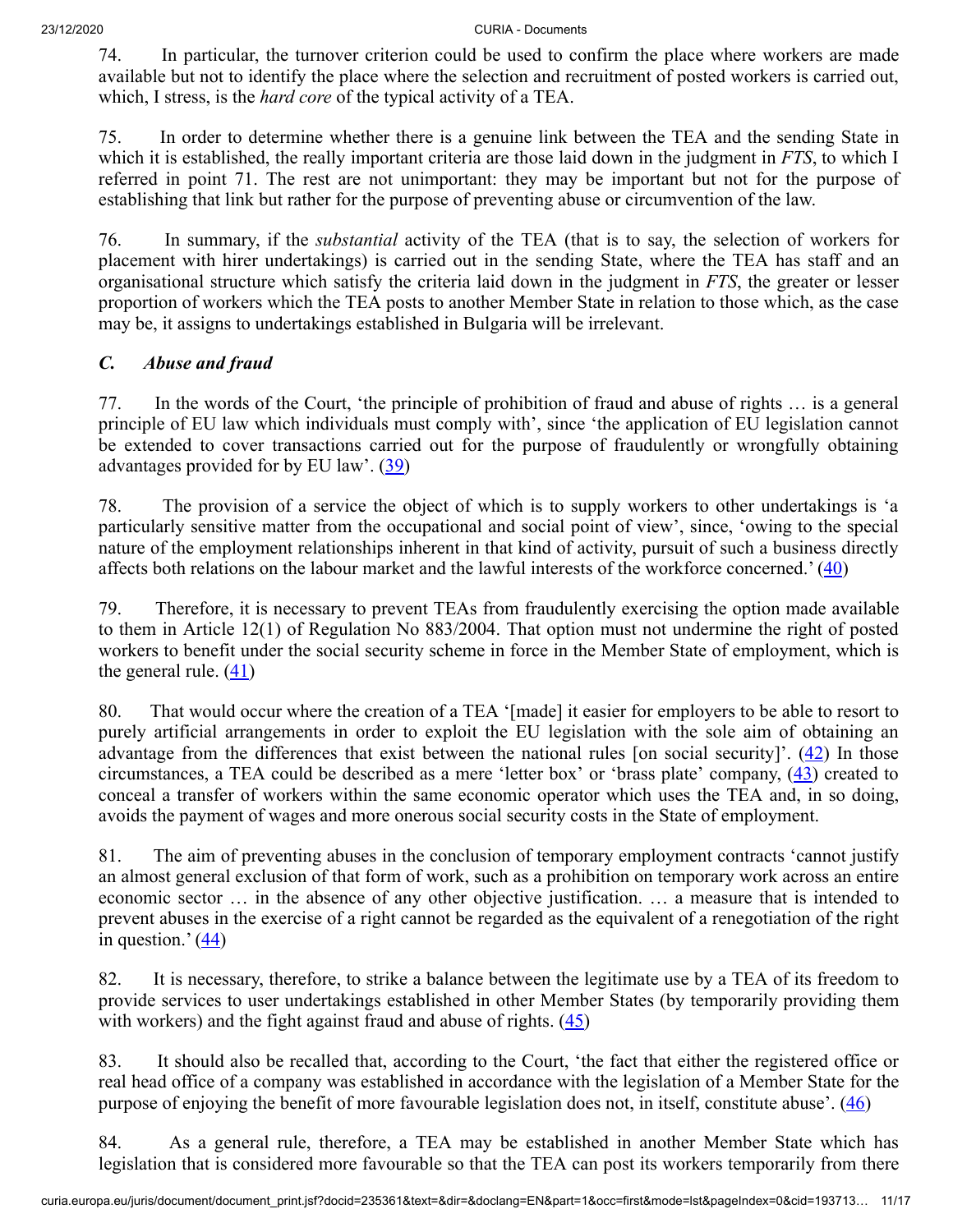74. In particular, the turnover criterion could be used to confirm the place where workers are made available but not to identify the place where the selection and recruitment of posted workers is carried out, which, I stress, is the *hard core* of the typical activity of a TEA.

75. In order to determine whether there is a genuine link between the TEA and the sending State in which it is established, the really important criteria are those laid down in the judgment in *FTS*, to which I referred in point 71. The rest are not unimportant: they may be important but not for the purpose of establishing that link but rather for the purpose of preventing abuse or circumvention of the law.

76. In summary, if the *substantial* activity of the TEA (that is to say, the selection of workers for placement with hirer undertakings) is carried out in the sending State, where the TEA has staff and an organisational structure which satisfy the criteria laid down in the judgment in *FTS*, the greater or lesser proportion of workers which the TEA posts to another Member State in relation to those which, as the case may be, it assigns to undertakings established in Bulgaria will be irrelevant.

# *C. Abuse and fraud*

77. In the words of the Court, 'the principle of prohibition of fraud and abuse of rights … is a general principle of EU law which individuals must comply with', since 'the application of EU legislation cannot be extended to cover transactions carried out for the purpose of fraudulently or wrongfully obtaining advantages provided for by EU law'.  $(39)$  $(39)$ 

<span id="page-10-0"></span>78. The provision of a service the object of which is to supply workers to other undertakings is 'a particularly sensitive matter from the occupational and social point of view', since, 'owing to the special nature of the employment relationships inherent in that kind of activity, pursuit of such a business directly affects both relations on the labour market and the lawful interests of the workforce concerned.' [\(40](#page-15-3))

<span id="page-10-1"></span>79. Therefore, it is necessary to prevent TEAs from fraudulently exercising the option made available to them in Article 12(1) of Regulation No 883/2004. That option must not undermine the right of posted workers to benefit under the social security scheme in force in the Member State of employment, which is the general rule.  $(41)$  $(41)$ 

<span id="page-10-4"></span><span id="page-10-3"></span><span id="page-10-2"></span>80. That would occur where the creation of a TEA '[made] it easier for employers to be able to resort to purely artificial arrangements in order to exploit the EU legislation with the sole aim of obtaining an advantage from the differences that exist between the national rules [on social security]'. [\(42](#page-15-5)) In those circumstances, a TEA could be described as a mere 'letter box' or 'brass plate' company, [\(43](#page-15-6)) created to conceal a transfer of workers within the same economic operator which uses the TEA and, in so doing, avoids the payment of wages and more onerous social security costs in the State of employment.

81. The aim of preventing abuses in the conclusion of temporary employment contracts 'cannot justify an almost general exclusion of that form of work, such as a prohibition on temporary work across an entire economic sector … in the absence of any other objective justification. … a measure that is intended to prevent abuses in the exercise of a right cannot be regarded as the equivalent of a renegotiation of the right in question.'  $\left(\frac{44}{1}\right)$ 

<span id="page-10-6"></span><span id="page-10-5"></span>82. It is necessary, therefore, to strike a balance between the legitimate use by a TEA of its freedom to provide services to user undertakings established in other Member States (by temporarily providing them with workers) and the fight against fraud and abuse of rights.  $(45)$  $(45)$ 

83. It should also be recalled that, according to the Court, 'the fact that either the registered office or real head office of a company was established in accordance with the legislation of a Member State for the purpose of enjoying the benefit of more favourable legislation does not, in itself, constitute abuse'.  $(46)$  $(46)$ 

<span id="page-10-7"></span>84. As a general rule, therefore, a TEA may be established in another Member State which has legislation that is considered more favourable so that the TEA can post its workers temporarily from there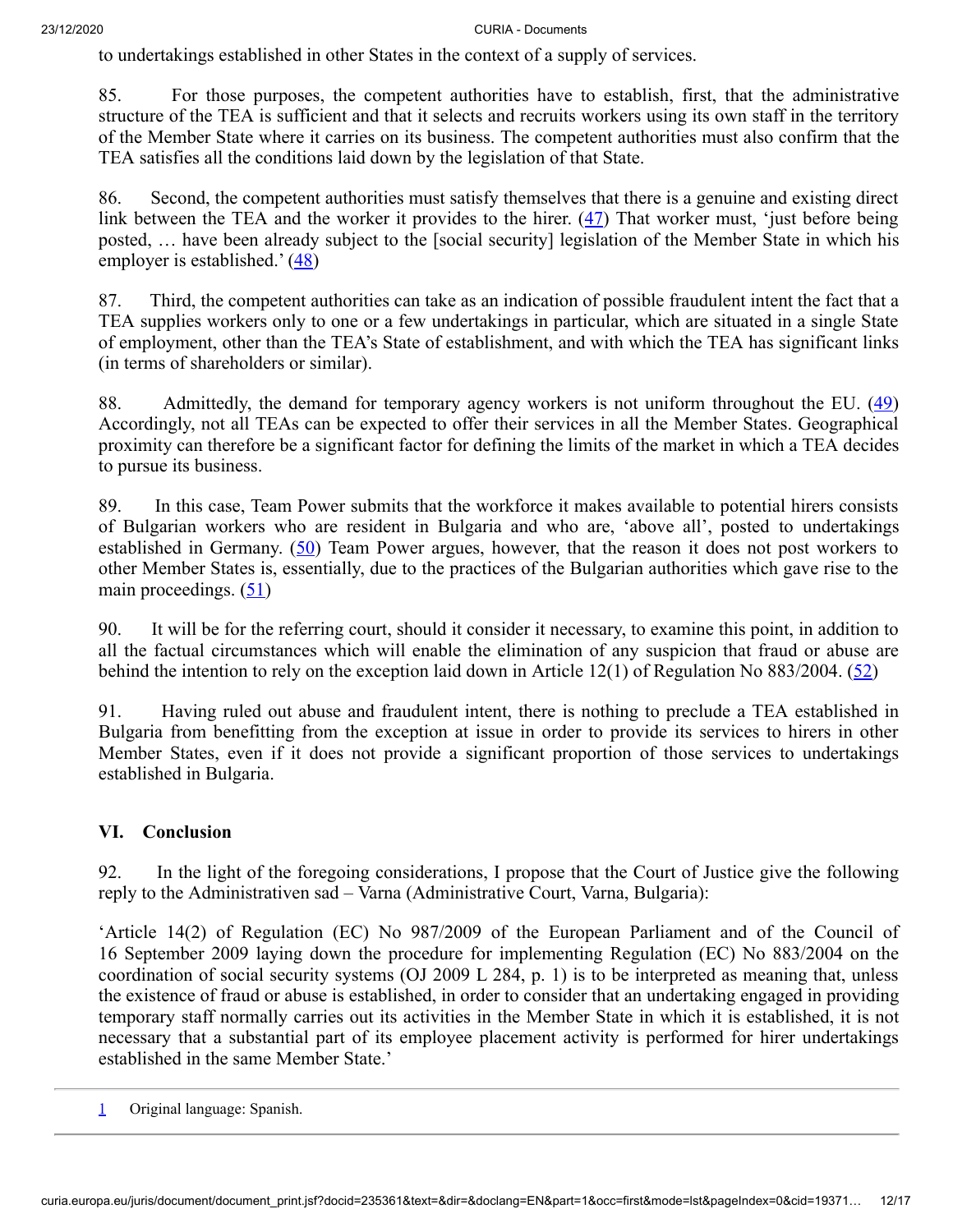to undertakings established in other States in the context of a supply of services.

85. For those purposes, the competent authorities have to establish, first, that the administrative structure of the TEA is sufficient and that it selects and recruits workers using its own staff in the territory of the Member State where it carries on its business. The competent authorities must also confirm that the TEA satisfies all the conditions laid down by the legislation of that State.

<span id="page-11-1"></span>86. Second, the competent authorities must satisfy themselves that there is a genuine and existing direct link between the TEA and the worker it provides to the hirer.  $(47)$  $(47)$  That worker must, 'just before being posted, … have been already subject to the [social security] legislation of the Member State in which his employer is established.'  $(48)$  $(48)$ 

<span id="page-11-2"></span>87. Third, the competent authorities can take as an indication of possible fraudulent intent the fact that a TEA supplies workers only to one or a few undertakings in particular, which are situated in a single State of employment, other than the TEA's State of establishment, and with which the TEA has significant links (in terms of shareholders or similar).

<span id="page-11-3"></span>88. Admittedly, the demand for temporary agency workers is not uniform throughout the EU. ([49\)](#page-16-0) Accordingly, not all TEAs can be expected to offer their services in all the Member States. Geographical proximity can therefore be a significant factor for defining the limits of the market in which a TEA decides to pursue its business.

<span id="page-11-4"></span>89. In this case, Team Power submits that the workforce it makes available to potential hirers consists of Bulgarian workers who are resident in Bulgaria and who are, 'above all', posted to undertakings established in Germany. [\(50](#page-16-1)) Team Power argues, however, that the reason it does not post workers to other Member States is, essentially, due to the practices of the Bulgarian authorities which gave rise to the main proceedings.  $(51)$  $(51)$ 

<span id="page-11-6"></span><span id="page-11-5"></span>90. It will be for the referring court, should it consider it necessary, to examine this point, in addition to all the factual circumstances which will enable the elimination of any suspicion that fraud or abuse are behind the intention to rely on the exception laid down in Article 12(1) of Regulation No 883/2004. ( $\overline{52}$ )

91. Having ruled out abuse and fraudulent intent, there is nothing to preclude a TEA established in Bulgaria from benefitting from the exception at issue in order to provide its services to hirers in other Member States, even if it does not provide a significant proportion of those services to undertakings established in Bulgaria.

## **VI. Conclusion**

92. In the light of the foregoing considerations, I propose that the Court of Justice give the following reply to the Administrativen sad – Varna (Administrative Court, Varna, Bulgaria):

'Article 14(2) of Regulation (EC) No 987/2009 of the European Parliament and of the Council of 16 September 2009 laying down the procedure for implementing Regulation (EC) No 883/2004 on the coordination of social security systems (OJ 2009 L 284, p. 1) is to be interpreted as meaning that, unless the existence of fraud or abuse is established, in order to consider that an undertaking engaged in providing temporary staff normally carries out its activities in the Member State in which it is established, it is not necessary that a substantial part of its employee placement activity is performed for hirer undertakings established in the same Member State.'

<span id="page-11-0"></span>[1](#page-0-0) Original language: Spanish.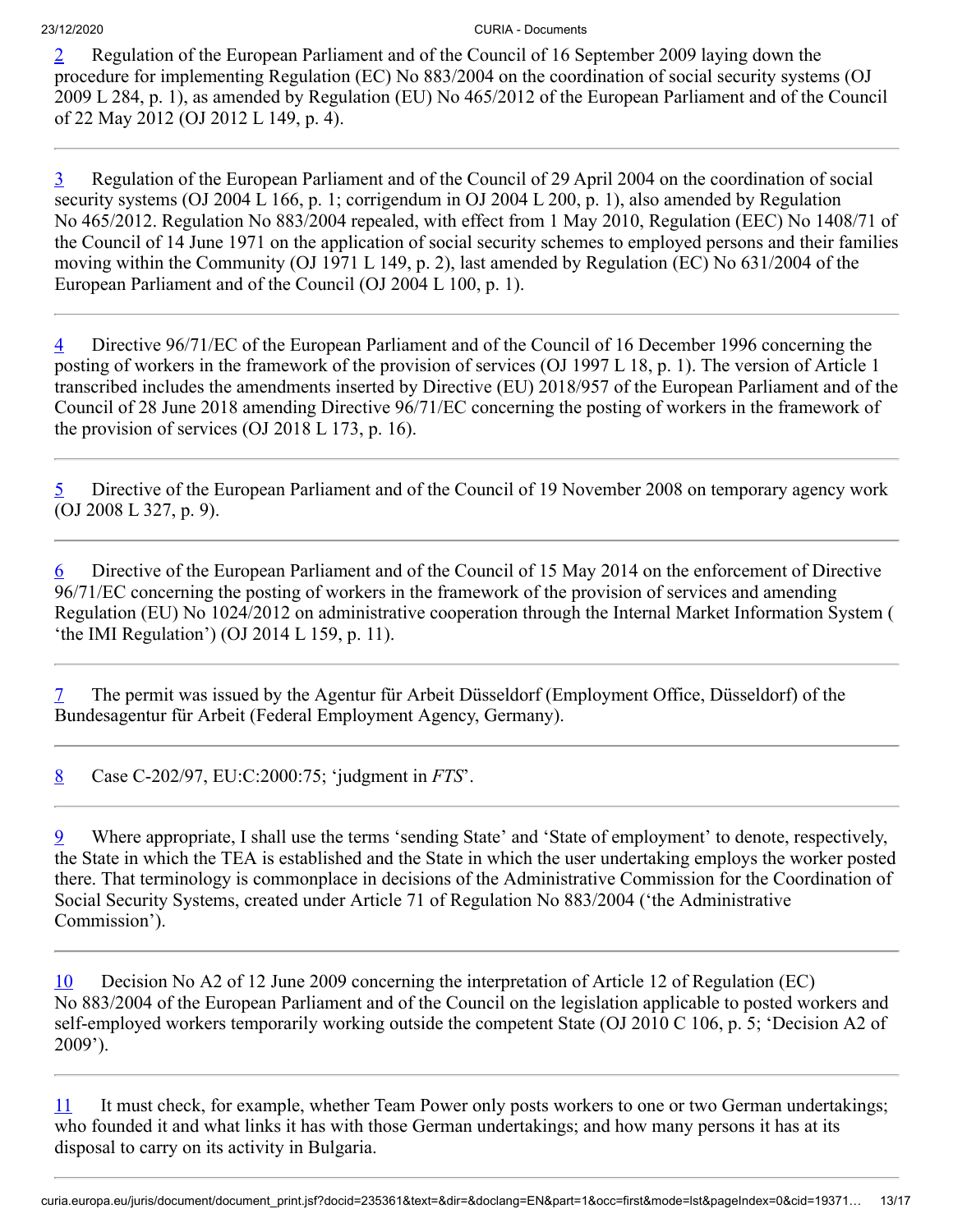<span id="page-12-0"></span>[2](#page-0-1) Regulation of the European Parliament and of the Council of 16 September 2009 laying down the procedure for implementing Regulation (EC) No 883/2004 on the coordination of social security systems (OJ 2009 L 284, p. 1), as amended by Regulation (EU) No 465/2012 of the European Parliament and of the Council of 22 May 2012 (OJ 2012 L 149, p. 4).

<span id="page-12-1"></span>[3](#page-0-2) Regulation of the European Parliament and of the Council of 29 April 2004 on the coordination of social security systems (OJ 2004 L 166, p. 1; corrigendum in OJ 2004 L 200, p. 1), also amended by Regulation No 465/2012. Regulation No 883/2004 repealed, with effect from 1 May 2010, Regulation (EEC) No 1408/71 of the Council of 14 June 1971 on the application of social security schemes to employed persons and their families moving within the Community (OJ 1971 L 149, p. 2), last amended by Regulation (EC) No 631/2004 of the European Parliament and of the Council (OJ 2004 L 100, p. 1).

<span id="page-12-2"></span>[4](#page-2-0) Directive 96/71/EC of the European Parliament and of the Council of 16 December 1996 concerning the posting of workers in the framework of the provision of services (OJ 1997 L 18, p. 1). The version of Article 1 transcribed includes the amendments inserted by Directive (EU) 2018/957 of the European Parliament and of the Council of 28 June 2018 amending Directive 96/71/EC concerning the posting of workers in the framework of the provision of services (OJ 2018 L 173, p. 16).

<span id="page-12-3"></span>[5](#page-2-1) Directive of the European Parliament and of the Council of 19 November 2008 on temporary agency work (OJ 2008 L 327, p. 9).

<span id="page-12-4"></span> $6$  Directive of the European Parliament and of the Council of 15 May 2014 on the enforcement of Directive 96/71/EC concerning the posting of workers in the framework of the provision of services and amending Regulation (EU) No 1024/2012 on administrative cooperation through the Internal Market Information System ( 'the IMI Regulation') (OJ 2014 L 159, p. 11).

<span id="page-12-5"></span>[7](#page-4-0) The permit was issued by the Agentur für Arbeit Düsseldorf (Employment Office, Düsseldorf) of the Bundesagentur für Arbeit (Federal Employment Agency, Germany).

<span id="page-12-6"></span>[8](#page-4-1) Case C‑202/97, EU:C:2000:75; 'judgment in *FTS*'.

<span id="page-12-7"></span>[9](#page-5-0) Where appropriate, I shall use the terms 'sending State' and 'State of employment' to denote, respectively, the State in which the TEA is established and the State in which the user undertaking employs the worker posted there. That terminology is commonplace in decisions of the Administrative Commission for the Coordination of Social Security Systems, created under Article 71 of Regulation No 883/2004 ('the Administrative Commission').

<span id="page-12-8"></span>[10](#page-5-1) Decision No A2 of 12 June 2009 concerning the interpretation of Article 12 of Regulation (EC) No 883/2004 of the European Parliament and of the Council on the legislation applicable to posted workers and self-employed workers temporarily working outside the competent State (OJ 2010 C 106, p. 5; 'Decision A2 of 2009').

<span id="page-12-9"></span>[11](#page-5-2) It must check, for example, whether Team Power only posts workers to one or two German undertakings; who founded it and what links it has with those German undertakings; and how many persons it has at its disposal to carry on its activity in Bulgaria.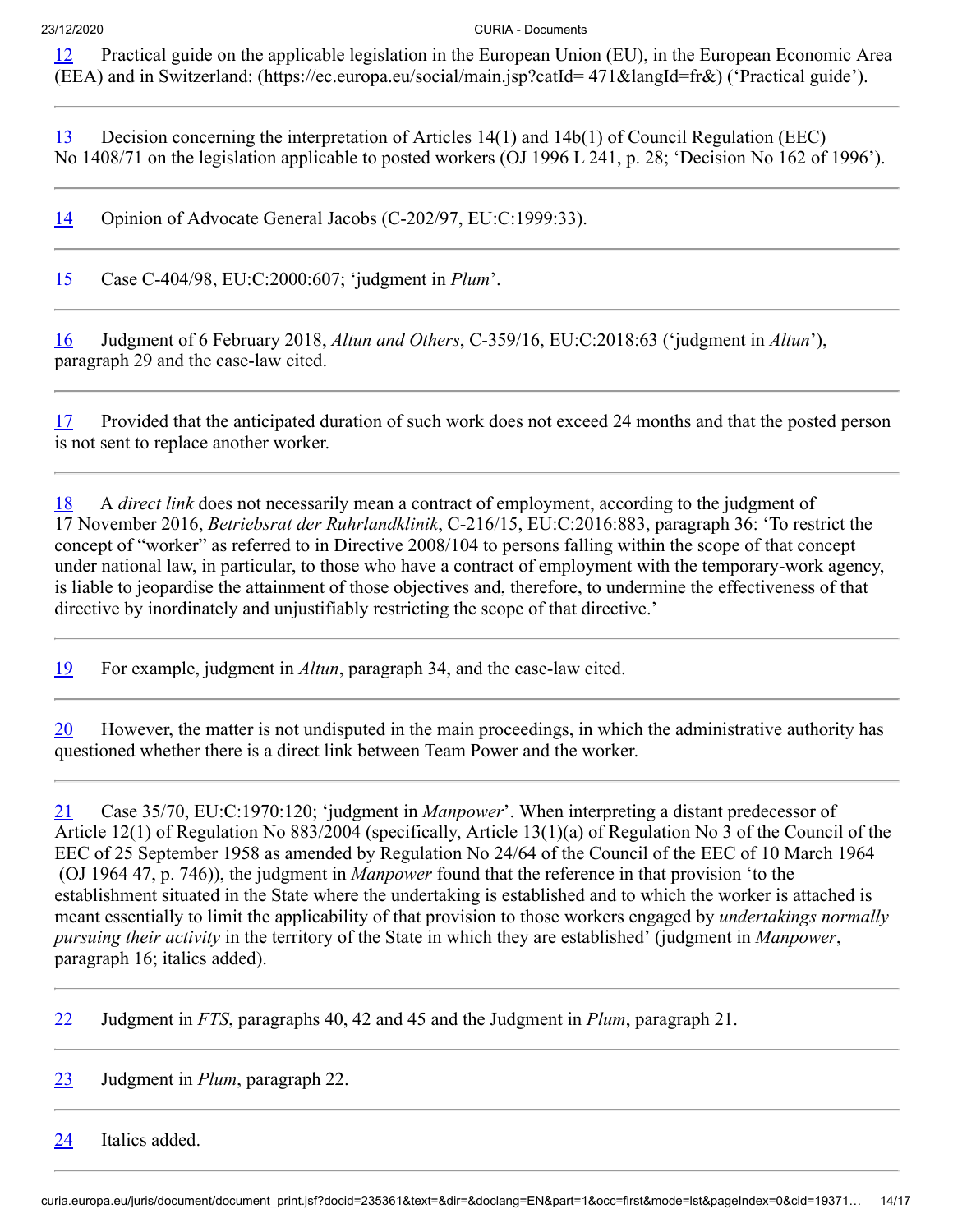<span id="page-13-0"></span>[12](#page-5-3) Practical guide on the applicable legislation in the European Union (EU), in the European Economic Area (EEA) and in Switzerland: (https://ec.europa.eu/social/main.jsp?catId= 471&langId=fr&) ('Practical guide').

<span id="page-13-1"></span>[13](#page-5-4) Decision concerning the interpretation of Articles 14(1) and 14b(1) of Council Regulation (EEC) No 1408/71 on the legislation applicable to posted workers (OJ 1996 L 241, p. 28; 'Decision No 162 of 1996').

<span id="page-13-2"></span>[14](#page-6-0) Opinion of Advocate General Jacobs (C-202/97, EU:C:1999:33).

<span id="page-13-3"></span>[15](#page-6-1) Case C‑404/98, EU:C:2000:607; 'judgment in *Plum*'.

<span id="page-13-4"></span>[16](#page-6-2) Judgment of 6 February 2018, *Altun and Others*, C‑359/16, EU:C:2018:63 ('judgment in *Altun*'), paragraph 29 and the case-law cited.

<span id="page-13-5"></span>[17](#page-6-3) Provided that the anticipated duration of such work does not exceed 24 months and that the posted person is not sent to replace another worker.

<span id="page-13-6"></span>[18](#page-6-4) A *direct link* does not necessarily mean a contract of employment, according to the judgment of 17 November 2016, *Betriebsrat der Ruhrlandklinik*, C‑216/15, EU:C:2016:883, paragraph 36: 'To restrict the concept of "worker" as referred to in Directive 2008/104 to persons falling within the scope of that concept under national law, in particular, to those who have a contract of employment with the temporary-work agency, is liable to jeopardise the attainment of those objectives and, therefore, to undermine the effectiveness of that directive by inordinately and unjustifiably restricting the scope of that directive.'

<span id="page-13-7"></span>[19](#page-6-5) For example, judgment in *Altun*, paragraph 34, and the case-law cited.

<span id="page-13-8"></span>[20](#page-7-0) However, the matter is not undisputed in the main proceedings, in which the administrative authority has questioned whether there is a direct link between Team Power and the worker.

<span id="page-13-9"></span>[21](#page-7-1) Case 35/70, EU:C:1970:120; 'judgment in *Manpower*'. When interpreting a distant predecessor of Article 12(1) of Regulation No 883/2004 (specifically, Article 13(1)(a) of Regulation No 3 of the Council of the EEC of 25 September 1958 as amended by Regulation No 24/64 of the Council of the EEC of 10 March 1964 (OJ 1964 47, p. 746)), the judgment in *Manpower* found that the reference in that provision 'to the establishment situated in the State where the undertaking is established and to which the worker is attached is meant essentially to limit the applicability of that provision to those workers engaged by *undertakings normally pursuing their activity* in the territory of the State in which they are established' (judgment in *Manpower*, paragraph 16; italics added).

<span id="page-13-10"></span>[22](#page-7-2) Judgment in *FTS*, paragraphs 40, 42 and 45 and the Judgment in *Plum*, paragraph 21.

<span id="page-13-11"></span>[23](#page-7-3) Judgment in *Plum*, paragraph 22.

<span id="page-13-12"></span>[24](#page-7-4) Italics added.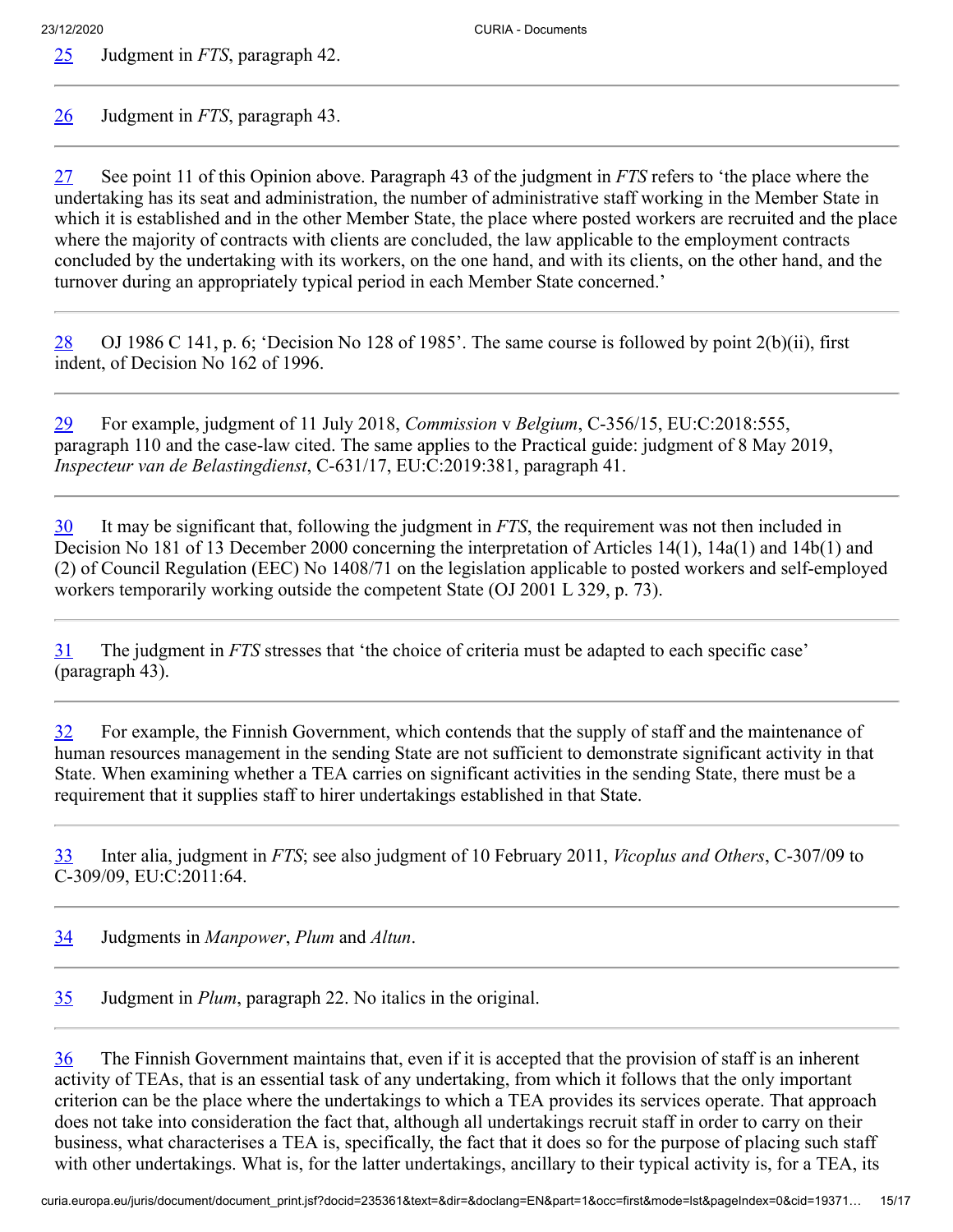<span id="page-14-0"></span>[25](#page-7-5) Judgment in *FTS*, paragraph 42.

<span id="page-14-1"></span>[26](#page-7-6) Judgment in *FTS*, paragraph 43.

<span id="page-14-2"></span>[27](#page-7-7) See point 11 of this Opinion above. Paragraph 43 of the judgment in *FTS* refers to 'the place where the undertaking has its seat and administration, the number of administrative staff working in the Member State in which it is established and in the other Member State, the place where posted workers are recruited and the place where the majority of contracts with clients are concluded, the law applicable to the employment contracts concluded by the undertaking with its workers, on the one hand, and with its clients, on the other hand, and the turnover during an appropriately typical period in each Member State concerned.'

<span id="page-14-3"></span>[28](#page-7-8) OJ 1986 C 141, p. 6; 'Decision No 128 of 1985'. The same course is followed by point  $2(b)(ii)$ , first indent, of Decision No 162 of 1996.

<span id="page-14-4"></span>[29](#page-7-9) For example, judgment of 11 July 2018, *Commission* v *Belgium*, C‑356/15, EU:C:2018:555, paragraph 110 and the case-law cited. The same applies to the Practical guide: judgment of 8 May 2019, *Inspecteur van de Belastingdienst*, C‑631/17, EU:C:2019:381, paragraph 41.

<span id="page-14-5"></span>[30](#page-7-10) It may be significant that, following the judgment in *FTS*, the requirement was not then included in Decision No 181 of 13 December 2000 concerning the interpretation of Articles 14(1), 14a(1) and 14b(1) and (2) of Council Regulation (EEC) No 1408/71 on the legislation applicable to posted workers and self-employed workers temporarily working outside the competent State (OJ 2001 L 329, p. 73).

<span id="page-14-6"></span>[31](#page-8-0) The judgment in *FTS* stresses that 'the choice of criteria must be adapted to each specific case' (paragraph 43).

<span id="page-14-7"></span>[32](#page-8-1) For example, the Finnish Government, which contends that the supply of staff and the maintenance of human resources management in the sending State are not sufficient to demonstrate significant activity in that State. When examining whether a TEA carries on significant activities in the sending State, there must be a requirement that it supplies staff to hirer undertakings established in that State.

<span id="page-14-8"></span>[33](#page-8-2) Inter alia, judgment in *FTS*; see also judgment of 10 February 2011, *Vicoplus and Others*, C‑307/09 to C‑309/09, EU:C:2011:64.

<span id="page-14-9"></span>[34](#page-8-3) Judgments in *Manpower*, *Plum* and *Altun*.

<span id="page-14-10"></span>[35](#page-9-0) Judgment in *Plum*, paragraph 22. No italics in the original.

<span id="page-14-11"></span>[36](#page-9-1) The Finnish Government maintains that, even if it is accepted that the provision of staff is an inherent activity of TEAs, that is an essential task of any undertaking, from which it follows that the only important criterion can be the place where the undertakings to which a TEA provides its services operate. That approach does not take into consideration the fact that, although all undertakings recruit staff in order to carry on their business, what characterises a TEA is, specifically, the fact that it does so for the purpose of placing such staff with other undertakings. What is, for the latter undertakings, ancillary to their typical activity is, for a TEA, its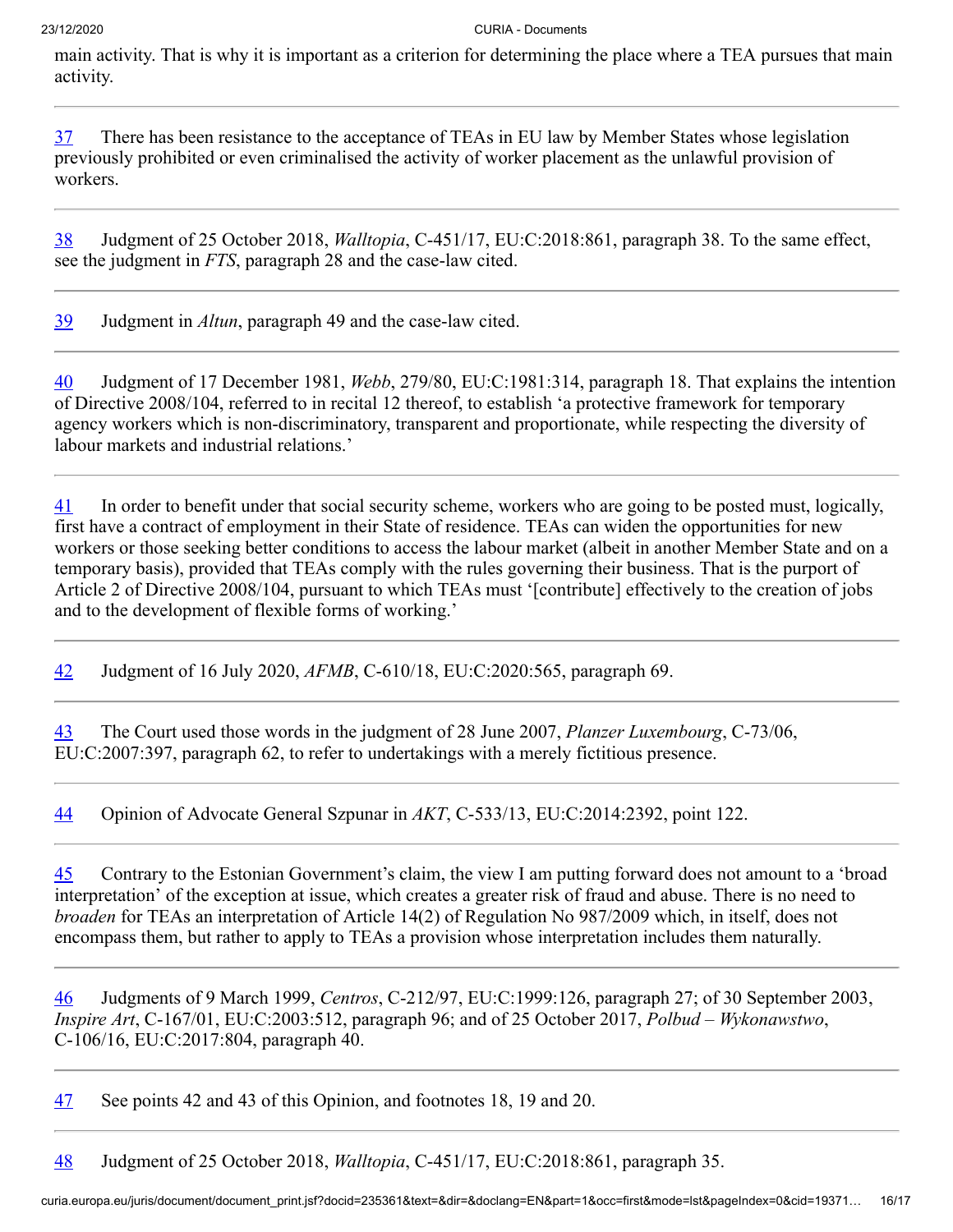main activity. That is why it is important as a criterion for determining the place where a TEA pursues that main activity.

<span id="page-15-0"></span>[37](#page-9-2) There has been resistance to the acceptance of TEAs in EU law by Member States whose legislation previously prohibited or even criminalised the activity of worker placement as the unlawful provision of workers.

<span id="page-15-1"></span>[38](#page-9-3) Judgment of 25 October 2018, *Walltopia*, C‑451/17, EU:C:2018:861, paragraph 38. To the same effect, see the judgment in *FTS*, paragraph 28 and the case-law cited.

<span id="page-15-2"></span>[39](#page-10-0) Judgment in *Altun*, paragraph 49 and the case-law cited.

<span id="page-15-3"></span>[40](#page-10-1) Judgment of 17 December 1981, *Webb*, 279/80, EU:C:1981:314, paragraph 18. That explains the intention of Directive 2008/104, referred to in recital 12 thereof, to establish 'a protective framework for temporary agency workers which is non-discriminatory, transparent and proportionate, while respecting the diversity of labour markets and industrial relations.'

<span id="page-15-4"></span>[41](#page-10-2) In order to benefit under that social security scheme, workers who are going to be posted must, logically, first have a contract of employment in their State of residence. TEAs can widen the opportunities for new workers or those seeking better conditions to access the labour market (albeit in another Member State and on a temporary basis), provided that TEAs comply with the rules governing their business. That is the purport of Article 2 of Directive 2008/104, pursuant to which TEAs must '[contribute] effectively to the creation of jobs and to the development of flexible forms of working.'

<span id="page-15-5"></span>[42](#page-10-3) Judgment of 16 July 2020, *AFMB*, C‑610/18, EU:C:2020:565, paragraph 69.

<span id="page-15-6"></span>[43](#page-10-4) The Court used those words in the judgment of 28 June 2007, *Planzer Luxembourg*, C‑73/06, EU:C:2007:397, paragraph 62, to refer to undertakings with a merely fictitious presence.

<span id="page-15-7"></span>[44](#page-10-5) Opinion of Advocate General Szpunar in *AKT*, C‑533/13, EU:C:2014:2392, point 122.

<span id="page-15-8"></span>[45](#page-10-6) Contrary to the Estonian Government's claim, the view I am putting forward does not amount to a 'broad interpretation' of the exception at issue, which creates a greater risk of fraud and abuse. There is no need to *broaden* for TEAs an interpretation of Article 14(2) of Regulation No 987/2009 which, in itself, does not encompass them, but rather to apply to TEAs a provision whose interpretation includes them naturally.

<span id="page-15-9"></span>[46](#page-10-7) Judgments of 9 March 1999, *Centros*, C‑212/97, EU:C:1999:126, paragraph 27; of 30 September 2003, *Inspire Art*, C‑167/01, EU:C:2003:512, paragraph 96; and of 25 October 2017, *Polbud – Wykonawstwo*, C‑106/16, EU:C:2017:804, paragraph 40.

<span id="page-15-10"></span>[47](#page-11-1) See points 42 and 43 of this Opinion, and footnotes 18, 19 and 20.

<span id="page-15-11"></span>[48](#page-11-2) Judgment of 25 October 2018, *Walltopia*, C‑451/17, EU:C:2018:861, paragraph 35.